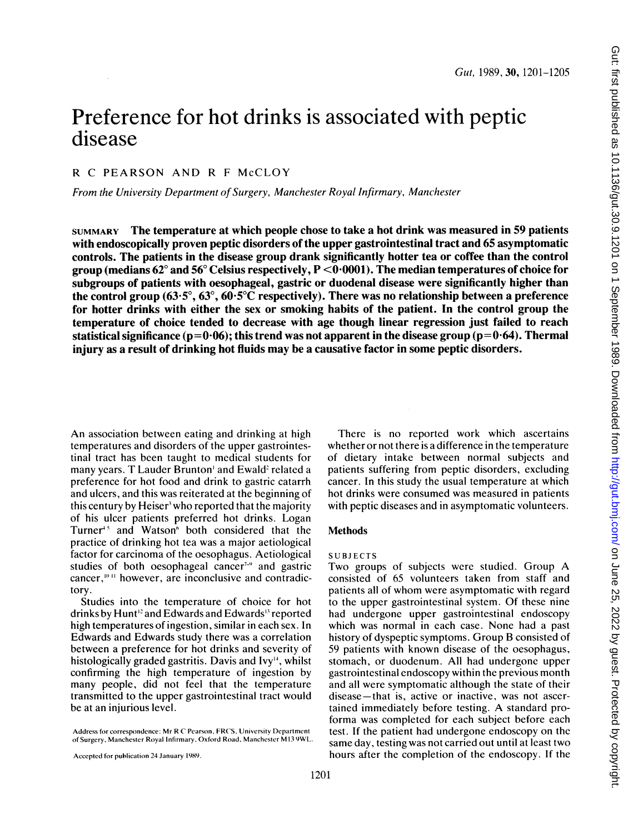# Preference for hot drinks is associated with peptic disease

# R C PEARSON AND R <sup>F</sup> McCLOY

From the University Department of Surgery, Manchester Royal Infirmary, Manchester

SUMMARY The temperature at which people chose to take a hot drink was measured in 59 patients with endoscopically proven peptic disorders of the upper gastrointestinal tract and 65 asymptomatic controls. The patients in the disease group drank significantly hotter tea or coffee than the control group (medians 62 $^{\circ}$  and 56 $^{\circ}$  Celsius respectively, P  $<$ 0 $\cdot$ 0001). The median temperatures of choice for subgroups of patients with oesophageal, gastric or duodenal disease were significantly higher than the control group (63.5°, 63°, 60.5°C respectively). There was no relationship between a preference for hotter drinks with either the sex or smoking habits of the patient. In the control group the temperature of choice tended to decrease with age though linear regression just failed to reach statistical significance ( $p=0.06$ ); this trend was not apparent in the disease group ( $p=0.64$ ). Thermal injury as a result of drinking hot fluids may be a causative factor in some peptic disorders.

An association between eating and drinking at high temperatures and disorders of the upper gastrointestinal tract has been taught to medical students for many years. T Lauder Brunton' and Ewald' related <sup>a</sup> preference for hot food and drink to gastric catarrh and ulcers, and this was reiterated at the beginning of this century by Heiser' who reported that the majority of his ulcer patients preferred hot drinks. Logan Turner<sup>45</sup> and Watson<sup>6</sup> both considered that the practice of drinking hot tea was a major aetiological factor for carcinoma of the oesophagus. Aetiological studies of both oesophageal cancer<sup> $7-9$ </sup> and gastric cancer,<sup>1011</sup> however, are inconclusive and contradictory.

Studies into the temperature of choice for hot drinks by Hunt<sup>12</sup> and Edwards and Edwards<sup>13</sup> reported high temperatures of ingestion, similar in each sex. In Edwards and Edwards study there was a correlation between a preference for hot drinks and severity of histologically graded gastritis. Davis and Ivy<sup>14</sup>, whilst confirming the high temperature of ingestion by many people, did not feel that the temperature transmitted to the upper gastrointestinal tract would be at an injurious level.

Accepted for publication 24 January 1989.

There is no reported work which ascertains whether or not there is a difference in the temperature of dietary intake between normal subjects and patients suffering from peptic disorders, excluding cancer. In this study the usual temperature at which hot drinks were consumed was measured in patients with peptic diseases and in asymptomatic volunteers.

### Methods

#### SUBJECTS

Two groups of subjects were studied. Group A consisted of 65 volunteers taken from staff and patients all of whom were asymptomatic with regard to the upper gastrointestinal system. Of these nine had undergone upper gastrointestinal endoscopy which was normal in each case. None had a past history of dyspeptic symptoms. Group B consisted of 59 patients with known disease of the oesophagus, stomach, or duodenum. All had undergone upper gastrointestinal endoscopy within the previous month and all were symptomatic although the state of their disease-that is, active or inactive, was not ascertained immediately before testing. A standard proforma was completed for each subject before each test. If the patient had undergone endoscopy on the same day, testing was not carried out until at least two hours after the completion of the endoscopy. If the

Address for correspondence: Mr R C Pearson. FRCS, University Department of Surgery, Manchester Royal Infirmary, Oxford Road, Manchester M13 9WL.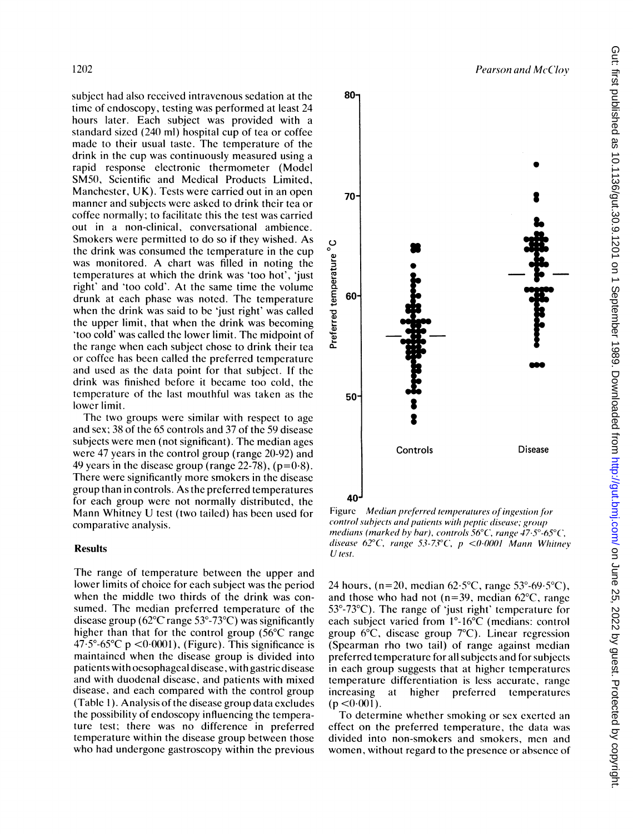subject had also received intravenous sedation at the time of endoscopy, testing was performed at least 24 hours later. Each subject was provided with a standard sized (240 ml) hospital cup of tea or coffee made to their usual taste. The temperature of the drink in the cup was continuously measured using a rapid response electronic thermometer (Model SM50, Scientific and Medical Products Limited, Manchester, UK). Tests were carried out in an open manner and subjects were asked to drink their tea or coffee normally; to facilitate this the test was carried out in a non-clinical, conversational ambience. Smokers were permitted to do so if they wished. As the drink was consumed the temperature in the cup was monitored. A chart was filled in noting the temperatures at which the drink was 'too hot', 'just right' and 'too cold'. At the same time the volume drunk at each phase was noted. The temperature when the drink was said to be 'just right' was called the upper limit, that when the drink was becoming 'too cold' was called the lower limit. The midpoint of the range when each subject chose to drink their tea or coffee has been called the preferred temperature and used as the data point for that subject. If the drink was finished before it became too cold, the temperature of the last mouthful was taken as the lower limit.

The two groups were similar with respect to age and sex; 38 of the 65 controls and 37 of the 59 disease subjects were men (not significant). The median ages were 47 years in the control group (range 20-92) and 49 years in the disease group (range  $22-78$ ), (p=0.8). There were significantly more smokers in the disease group than in controls. As the preferred temperatures for each group were not normally distributed, the Mann Whitney U test (two tailed) has been used for comparative analysis.

# Results

The range of temperature between the upper and lower limits of choice for each subject was the period when the middle two thirds of the drink was consumed. The median preferred temperature of the disease group (62°C range 53°-73°C) was significantly higher than that for the control group (56°C range  $47.5^{\circ}$ -65°C p <0.0001), (Figure). This significance is maintained when the disease group is divided into patients with oesophageal disease, with gastric disease and with duodenal disease, and patients with mixed disease, and each compared with the control group (Table 1). Analysis of the disease group data excludes the possibility of endoscopy influencing the temperature test; there was no difference in preferred temperature within the disease group between those who had undergone gastroscopy within the previous



Figure Median preferred temperatures of ingestion for control subjects and patients with peptic disease; group medians (marked by bar), controls  $56^{\circ}$ C, range  $47.5^{\circ}$ -65°C, disease 62°C, range 53-73°C, p <0.0001 Mann Whitney U lest.

24 hours, (n=20, median 62-5°C, range 53°-69.5°C), and those who had not ( $n=39$ , median 62 $\degree$ C, range 53°-73°C). The range of 'just right' temperature for each subject varied from 1°-16°C (medians: control group 6°C, disease group 7°C). Linear regression (Spearman rho two tail) of range against median preferred temperature for all subjects and for subjects in each group suggests that at higher temperatures temperature differentiation is less accurate, range<br>increasing at higher preferred temperatures higher preferred temperatures  $(p < 0.001)$ .

To determine whether smoking or sex exerted an effect on the preferred temperature, the data was divided into non-smokers and smokers, men and women, without regard to the presence or absence of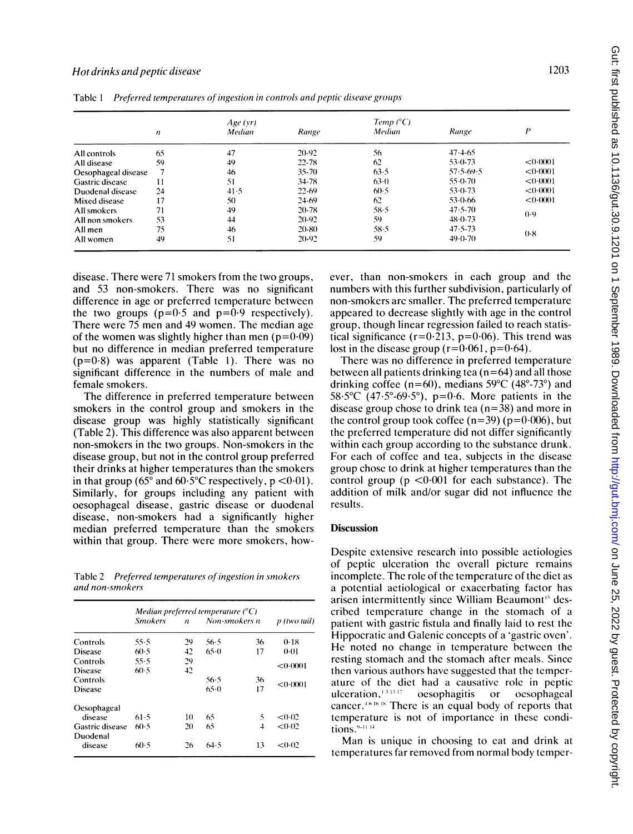|                     |                  | Age(yr) |           | Temp $(^{\circ}C)$ |               |          |  |
|---------------------|------------------|---------|-----------|--------------------|---------------|----------|--|
|                     | $\boldsymbol{n}$ | Median  | Range     | Median             | Range         | P        |  |
| All controls        | 65               | 47      | $20-92$   | 56                 | $47.4 - 65$   |          |  |
| All disease         | 59               | 49      | 22-78     | 62                 | 53.0-73       | < 0.0001 |  |
| Oesophageal disease |                  | 46      | $35 - 70$ | 63.5               | $57.5 - 69.5$ | < 0.0001 |  |
| Gastric disease     | 11               | 51      | 34-78     | 63(0)              | $55.0 - 70$   | < 0.0001 |  |
| Duodenal disease    | 24               | 41.5    | 22-69     | 60.5               | $53-0-73$     | < 0.0001 |  |
| Mixed disease       | 17               | 50      | 24-69     | 62                 | $53.0 - 66$   | < 0.0001 |  |
| All smokers         | 71               | 49      | 20-78     | 58.5               | $47.5 - 70$   | (0.9)    |  |
| All non smokers     | 53               | 44      | 20-92     | 59                 | $48.0 - 73$   |          |  |
| All men             | 75               | 46      | 20-80     | 58.5               | $47.5 - 73$   |          |  |
| All women           | 49               | 51      | 20-92     | 59                 | $49.0 - 70$   | 0.8      |  |

Table 1 Preferred temperatures of ingestion in controls and peptic disease groups

disease. There were 71 smokers from the two groups, and 53 non-smokers. There was no significant difference in age or preferred temperature between the two groups ( $p=0.5$  and  $p=0.9$  respectively). There were 75 men and 49 women. The median age of the women was slightly higher than men  $(p=0.09)$ but no difference in median preferred temperature  $(p=0.8)$  was apparent (Table 1). There was no significant difference in the numbers of male and female smokers.

The difference in preferred temperature between smokers in the control group and smokers in the disease group was highly statistically significant (Table 2). This difference was also apparent between non-smokers in the two groups. Non-smokers in the disease group, but not in the control group preferred their drinks at higher temperatures than the smokers in that group ( $65^{\circ}$  and  $60.5^{\circ}$ C respectively, p <0.01). Similarly, for groups including any patient with oesophageal disease, gastric disease or duodenal disease, non-smokers had a significantly higher median preferred temperature than the smokers within that group. There were more smokers, how-

Table 2 Preferred temperatures of ingestion in smokers and non-smokers

|                 | Median preferred temperature $(^{\circ}C)$ |                     |               |    |              |  |  |  |
|-----------------|--------------------------------------------|---------------------|---------------|----|--------------|--|--|--|
|                 | <b>Smokers</b>                             | $\boldsymbol{\eta}$ | Non-smokers n |    | p (two tail) |  |  |  |
| Controls        | 55.5                                       | 29                  | 56-5          | 36 | $0-18$       |  |  |  |
| Disease         | 60.5                                       | 42                  | $65-0$        | 17 | $0 - 01$     |  |  |  |
| Controls        | 55.5                                       | 29                  |               |    |              |  |  |  |
| Disease         | 60.5                                       | 42                  |               |    | <0.0001      |  |  |  |
| Controls        |                                            |                     | 56.5          | 36 | < 0.0001     |  |  |  |
| Disease         |                                            |                     | $65-0$        | 17 |              |  |  |  |
| Oesophageal     |                                            |                     |               |    |              |  |  |  |
| disease         | 61.5                                       | 10                  | 65            | 5  | < 0.02       |  |  |  |
| Gastric disease | 60.5                                       | 20                  | 65            | 4  | < 0.02       |  |  |  |
| Duodenal        |                                            |                     |               |    |              |  |  |  |
| disease         | 60.5                                       | 26                  | 64.5          | 13 | < 0.02       |  |  |  |

ever, than non-smokers in each group and the numbers with this further subdivision, particularly of non-smokers are smaller. The preferred temperature appeared to decrease slightly with age in the control group, though linear regression failed to reach statistical significance ( $r=0.213$ ,  $p=0.06$ ). This trend was lost in the disease group ( $r=0.061$ ,  $p=0.64$ ).

There was no difference in preferred temperature between all patients drinking tea  $(n=64)$  and all those drinking coffee ( $n=60$ ), medians 59 $\degree$ C (48 $\degree$ -73 $\degree$ ) and 58.5°C (47.5°-69.5°), p=0.6. More patients in the disease group chose to drink tea  $(n=38)$  and more in the control group took coffee  $(n=39)$  ( $p=0.006$ ), but the preferred temperature did not differ significantly within each group according to the substance drunk. For each of coffee and tea, subjects in the disease group chose to drink at higher temperatures than the control group ( $p < 0.001$  for each substance). The addition of milk and/or sugar did not influence the results.

# Discussion

Despite extensive research into possible aetiologies of peptic ulceration the overall picture remains incomplete. The role of the temperature of the diet as a potential aetiological or exacerbating factor has arisen intermittently since William Beaumont<sup>15</sup> described temperature change in the stomach of a patient with gastric fistula and finally laid to rest the Hippocratic and Galenic concepts of a 'gastric oven'. He noted no change in temperature between the resting stomach and the stomach after meals. Since then various authors have suggested that the temperature of the diet had a causative role in peptic ulceration,  $x^3$  is the oscophage of consophage of consolidation of consolidation of the set of consolidation of consolidation of the set of consolidation of the set of co oesophagitis or cancer.<sup>46 I6</sup><sup>18</sup> There is an equal body of reports that temperature is not of importance in these conditions. $9-11-14$ 

Man is unique in choosing to eat and drink at temperatures far removed from normal body temper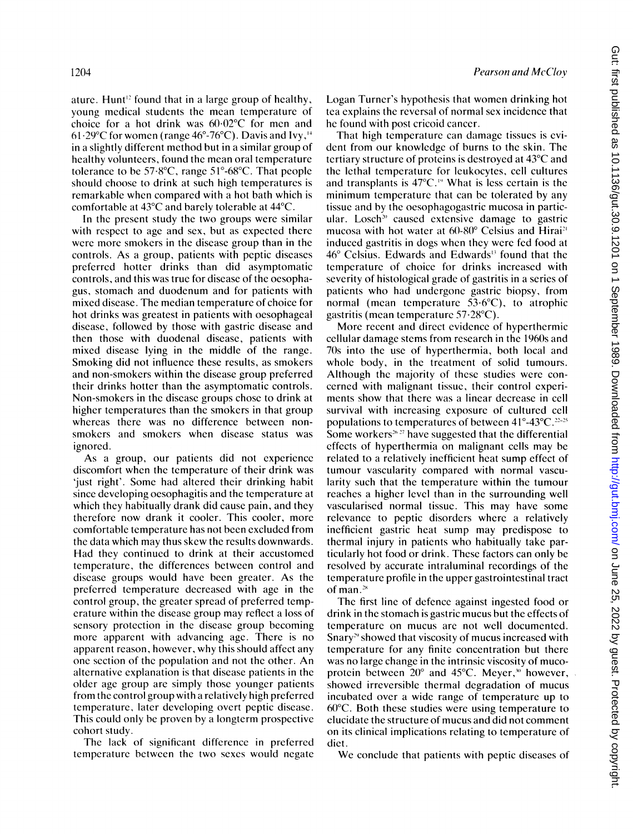ature. Hunt<sup>12</sup> found that in a large group of healthy, young medical students the mean temperature of choice for <sup>a</sup> hot drink was 60-02°C for men and  $61.29^{\circ}$ C for women (range 46°-76°C). Davis and Ivy,<sup>14</sup> in a slightly different method but in a similar group of healthy volunteers, found the mean oral temperature tolerance to be  $57.8^{\circ}$ C, range  $51^{\circ}$ -68 $^{\circ}$ C. That people should choose to drink at such high temperatures is remarkable when compared with a hot bath which is comfortable at 43°C and barely tolerable at 44°C.

In the present study the two groups were similar with respect to age and sex, but as expected there were more smokers in the disease group than in the controls. As <sup>a</sup> group, patients with peptic diseases preferred hotter drinks than did asymptomatic controls, and this was true for disease of the oesophagus, stomach and duodenum and for patients with mixed disease. The median temperature of choice for hot drinks was greatest in patients with oesophageal disease, followed by those with gastric disease and then those with duodenal disease, patients with mixed disease lying in the middle of the range. Smoking did not influence these results, as smokers and non-smokers within the disease group preferred their drinks hotter than the asymptomatic controls. Non-smokers in the disease groups chose to drink at higher temperatures than the smokers in that group whereas there was no difference between nonsmokers and smokers when disease status was ignored.

As a group, our patients did not experience discomfort when the temperature of their drink was 'just right'. Some had altered their drinking habit since developing oesophagitis and the temperature at which they habitually drank did cause pain, and they therefore now drank it cooler. This cooler, more comfortable temperature has not been excluded from the data which may thus skew the results downwards. Had they continued to drink at their accustomed temperature, the differences between control and disease groups would have been greater. As the preferred temperature decreased with age in the control group, the greater spread of preferred temperature within the disease group may reflect a loss of sensory protection in the disease group becoming more apparent with advancing age. There is no apparent reason, however, why this should affect any one section of the population and not the other. An alternative explanation is that disease patients in the older age group are simply those younger patients from the control group with a relatively high preferred temperature, later developing overt peptic disease. This could only be proven by a longterm prospective cohort study.

The lack of significant difference in preferred temperature between the two sexes would negate Logan Turner's hypothesis that women drinking hot tea explains the reversal of normal sex incidence that he found with post cricoid cancer.

That high temperature can damage tissues is evident from our knowledge of burns to the skin. The tertiary structure of proteins is destroyed at 43°C and the lethal temperature for leukocytes, cell cultures and transplants is  $47^{\circ}$ C.<sup>19</sup> What is less certain is the minimum temperature that can be tolerated by any tissue and by the oesophagogastric mucosa in particular. Losch<sup>30</sup> caused extensive damage to gastric mucosa with hot water at  $60-80^\circ$  Celsius and Hirai<sup>21</sup> induced gastritis in dogs when they were fed food at 46° Celsius. Edwards and Edwards' found that the temperature of choice for drinks increased with severity of histological grade of gastritis in a series of patients who had undergone gastric biopsy, from normal (mean temperature 53.6°C), to atrophic gastritis (mean temperature  $57.28^{\circ}$ C).

More recent and direct evidence of hyperthermic cellular damage stems from research in the 1960s and 70s into the use of hyperthermia, both local and whole body, in the treatment of solid tumours. Although the majority of these studies were concerned with malignant tissue, their control experiments show that there was a linear decrease in cell survival with increasing exposure of cultured cell populations to temperatures of between  $41^{\circ} - 43^{\circ}C$ .<sup>22,25</sup> Some workers<sup>26.27</sup> have suggested that the differential effects of hyperthermia on malignant cells may be related to a relatively inefficient heat sump effect of tumour vascularity compared with normal vascularity such that the temperature within the tumour reaches a higher level than in the surrounding well vascularised normal tissue. This may have some relevance to peptic disorders where a relatively inefficient gastric heat sump may predispose to thermal injury in patients who habitually take particularly hot food or drink. These factors can only be resolved by accurate intraluminal recordings of the temperature profile in the upper gastrointestinal tract of man.

The first line of defence against ingested food or drink in the stomach is gastric mucus but the effects of temperature on mucus are not well documented. Snary'9 showed that viscosity of mucus increased with temperature for any finite concentration but there was no large change in the intrinsic viscosity of mucoprotein between  $20^{\circ}$  and 45°C. Meyer,<sup>\*</sup> however, showed irreversible thermal degradation of mucus incubated over a wide range of temperature up to 60°C. Both these studies were using temperature to elucidate the structure of mucus and did not comment on its clinical implications relating to temperature of diet.

We conclude that patients with peptic diseases of